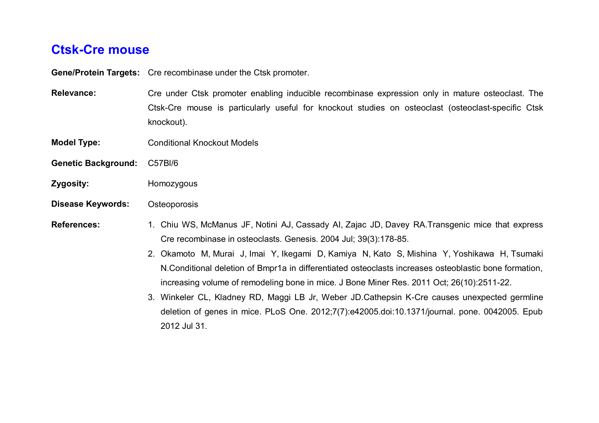## **Ctsk-Cre mouse**

**Gene/Protein Targets:** Cre recombinase under the Ctsk promoter.

**Relevance:** Cre under Ctsk promoter enabling inducible recombinase expression only in mature osteoclast. The Ctsk-Cre mouse is particularly useful for knockout studies on osteoclast (osteoclast-specific Ctsk knockout).

- **Model Type:** Conditional Knockout Models
- **Genetic Background:** C57Bl/6
- **Zygosity:** Homozygous
- **Disease Keywords:** Osteoporosis

- **References:** 1. Chiu WS, McManus JF, Notini AJ, Cassady AI, Zajac JD, Davey RA.Transgenic mice that express Cre recombinase in osteoclasts. Genesis. 2004 Jul; 39(3):178-85.
	- 2. Okamoto M, Murai J, Imai Y, Ikegami D, Kamiya N, Kato S, Mishina Y, Yoshikawa H, Tsumaki N.Conditional deletion of Bmpr1a in differentiated osteoclasts increases osteoblastic bone formation, increasing volume of remodeling bone in mice. J Bone Miner Res. 2011 Oct; 26(10):2511-22.
	- 3. Winkeler CL, Kladney RD, Maggi LB Jr, Weber JD.Cathepsin K-Cre causes unexpected germline deletion of genes in mice. PLoS One. 2012;7(7):e42005.doi:10.1371/journal. pone. 0042005. Epub 2012 Jul 31.